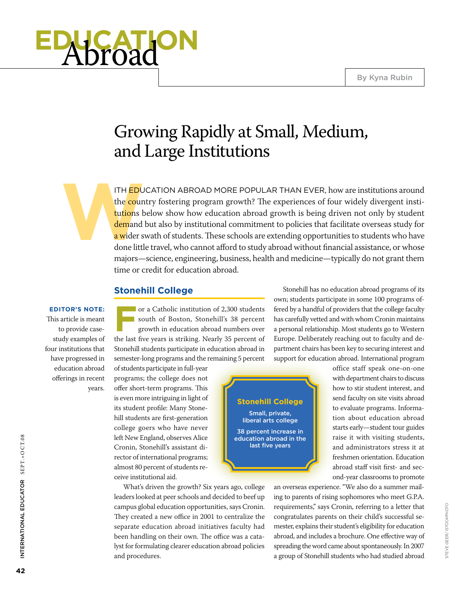# **education** Abroad

## Growing Rapidly at Small, Medium, and Large Institutions

ITH EDU<br>the count tutions b<br>tutions b<br>demand<br>a wider s<br>done littl ITH **ED**UCATION ABROAD MORE POPULAR THAN EVER, how are institutions around the country fostering program growth? The experiences of four widely divergent institutions below show how education abroad growth is being driven not only by student demand but also by institutional commitment to policies that facilitate overseas study for a wider swath of students. These schools are extending opportunities to students who have done little travel, who cannot afford to study abroad without financial assistance, or whose majors—science, engineering, business, health and medicine—typically do not grant them time or credit for education abroad.

#### **Stonehill College**

**Editor's Note:**  This article is meant to provide casestudy examples of four institutions that have progressed in education abroad offerings in recent years.

**From a Catholic institution of 2,300 students**<br> **From south of Boston, Stonehill's 38 percent**<br> **From south in education abroad numbers over** south of Boston, Stonehill's 38 percent growth in education abroad numbers over the last five years is striking. Nearly 35 percent of Stonehill students participate in education abroad in semester-long programs and the remaining 5 percent

of students participate in full-year programs; the college does not offer short-term programs. This is even more intriguing in light of its student profile: Many Stonehill students are first-generation college goers who have never left New England, observes Alice Cronin, Stonehill's assistant director of international programs; almost 80 percent of students receive institutional aid.

What's driven the growth? Six years ago, college leaders looked at peer schools and decided to beef up campus global education opportunities, says Cronin. They created a new office in 2001 to centralize the separate education abroad initiatives faculty had been handling on their own. The office was a catalyst for formulating clearer education abroad policies and procedures.



Stonehill has no education abroad programs of its own; students participate in some 100 programs offered by a handful of providers that the college faculty has carefully vetted and with whom Cronin maintains a personal relationship. Most students go to Western Europe. Deliberately reaching out to faculty and department chairs has been key to securing interest and support for education abroad. International program

> office staff speak one-on-one with department chairs to discuss how to stir student interest, and send faculty on site visits abroad to evaluate programs. Information about education abroad starts early—student tour guides raise it with visiting students, and administrators stress it at freshmen orientation. Education abroad staff visit first- and second-year classrooms to promote

an overseas experience. "We also do a summer mailing to parents of rising sophomores who meet G.P.A. requirements," says Cronin, referring to a letter that congratulates parents on their child's successful semester, explains their student's eligibility for education abroad, and includes a brochure. One effective way of spreading the word came about spontaneously. In 2007 a group of Stonehill students who had studied abroad

International Educ

INTERNATIONAL EDUCATOR SEPT.+OCT.08

ator SEPT.+O CT.08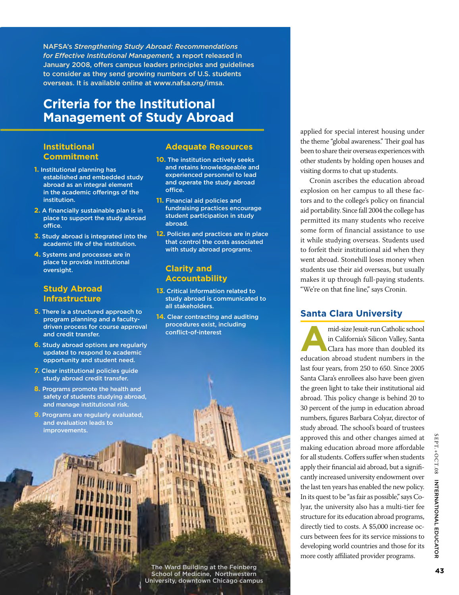NAFSA's *Strengthening Study Abroad: Recommendations for Effective Institutional Management,* a report released in January 2008, offers campus leaders principles and guidelines to consider as they send growing numbers of U.S. students overseas. It is available online at www.nafsa.org/imsa.

### **Criteria for the Institutional Management of Study Abroad**

#### **Institutional Commitment**

- **1.** Institutional planning has established and embedded study abroad as an integral element in the academic offerings of the institution.
- **2.** A financially sustainable plan is in place to support the study abroad office.
- **3.** Study abroad is integrated into the academic life of the institution.
- **4.** Systems and processes are in place to provide institutional oversight.

#### **Study Abroad Infrastructure**

- **5.** There is a structured approach to program planning and a facultydriven process for course approval and credit transfer.
- **6.** Study abroad options are regularly updated to respond to academic opportunity and student need.
- **7.** Clear institutional policies guide study abroad credit transfer.
- **8.** Programs promote the health and safety of students studying abroad, and manage institutional risk.
- **9.** Programs are regularly evaluated, and evaluation leads to improvements.

#### **Adequate Resources**

- **10.** The institution actively seeks and retains knowledgeable and experienced personnel to lead and operate the study abroad office.
- **11.** Financial aid policies and fundraising practices encourage student participation in study abroad.
- **12.** Policies and practices are in place that control the costs associated with study abroad programs.

#### **Clarity and Accountability**

- **13**. Critical information related to study abroad is communicated to all stakeholders.
- **14**. Clear contracting and auditing procedures exist, including conflict-of-interest

The Ward Building at the Feinberg School of Medicine, Northwestern University, downtown Chicago campus applied for special interest housing under the theme "global awareness." Their goal has been to share their overseas experiences with other students by holding open houses and visiting dorms to chat up students.

Cronin ascribes the education abroad explosion on her campus to all these factors and to the college's policy on financial aid portability. Since fall 2004 the college has permitted its many students who receive some form of financial assistance to use it while studying overseas. Students used to forfeit their institutional aid when they went abroad. Stonehill loses money when students use their aid overseas, but usually makes it up through full-paying students. "We're on that fine line," says Cronin.

#### **Santa Clara University**

mid-size Jesuit-run Catholic school<br>in California's Silicon Valley, Santa<br>Clara has more than doubled its in California's Silicon Valley, Santa Clara has more than doubled its education abroad student numbers in the last four years, from 250 to 650. Since 2005 Santa Clara's enrollees also have been given the green light to take their institutional aid abroad. This policy change is behind 20 to 30 percent of the jump in education abroad numbers, figures Barbara Colyar, director of study abroad. The school's board of trustees approved this and other changes aimed at making education abroad more affordable for all students. Coffers suffer when students apply their financial aid abroad, but a significantly increased university endowment over the last ten years has enabled the new policy. In its quest to be "as fair as possible," says Colyar, the university also has a multi-tier fee structure for its education abroad programs, directly tied to costs. A \$5,000 increase occurs between fees for its service missions to developing world countries and those for its more costly affiliated provider programs.